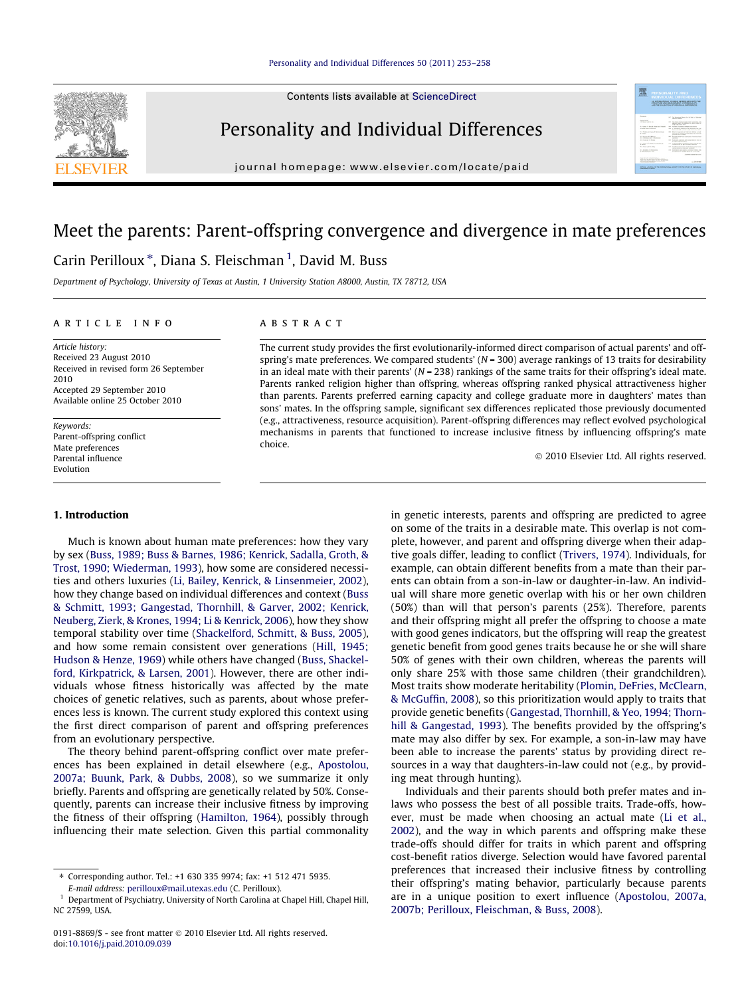Contents lists available at [ScienceDirect](http://www.sciencedirect.com/science/journal/01918869)



# Personality and Individual Differences

journal homepage: [www.elsevier.com/locate/paid](http://www.elsevier.com/locate/paid)

# Meet the parents: Parent-offspring convergence and divergence in mate preferences

# Carin Perilloux \*, Diana S. Fleischman <sup>1</sup>, David M. Buss

Department of Psychology, University of Texas at Austin, 1 University Station A8000, Austin, TX 78712, USA

#### article info

Article history: Received 23 August 2010 Received in revised form 26 September 2010 Accepted 29 September 2010 Available online 25 October 2010

Keywords: Parent-offspring conflict Mate preferences Parental influence Evolution

# 1. Introduction

Much is known about human mate preferences: how they vary by sex ([Buss, 1989; Buss & Barnes, 1986; Kenrick, Sadalla, Groth, &](#page-5-0) [Trost, 1990; Wiederman, 1993\)](#page-5-0), how some are considered necessities and others luxuries ([Li, Bailey, Kenrick, & Linsenmeier, 2002\)](#page-5-0), how they change based on individual differences and context [\(Buss](#page-5-0) [& Schmitt, 1993; Gangestad, Thornhill, & Garver, 2002; Kenrick,](#page-5-0) [Neuberg, Zierk, & Krones, 1994; Li & Kenrick, 2006\)](#page-5-0), how they show temporal stability over time [\(Shackelford, Schmitt, & Buss, 2005\)](#page-5-0), and how some remain consistent over generations ([Hill, 1945;](#page-5-0) [Hudson & Henze, 1969\)](#page-5-0) while others have changed [\(Buss, Shackel](#page-5-0)[ford, Kirkpatrick, & Larsen, 2001](#page-5-0)). However, there are other individuals whose fitness historically was affected by the mate choices of genetic relatives, such as parents, about whose preferences less is known. The current study explored this context using the first direct comparison of parent and offspring preferences from an evolutionary perspective.

The theory behind parent-offspring conflict over mate preferences has been explained in detail elsewhere (e.g., [Apostolou,](#page-5-0) [2007a; Buunk, Park, & Dubbs, 2008](#page-5-0)), so we summarize it only briefly. Parents and offspring are genetically related by 50%. Consequently, parents can increase their inclusive fitness by improving the fitness of their offspring [\(Hamilton, 1964](#page-5-0)), possibly through influencing their mate selection. Given this partial commonality

# **ABSTRACT**

The current study provides the first evolutionarily-informed direct comparison of actual parents' and offspring's mate preferences. We compared students' ( $N = 300$ ) average rankings of 13 traits for desirability in an ideal mate with their parents' ( $N = 238$ ) rankings of the same traits for their offspring's ideal mate. Parents ranked religion higher than offspring, whereas offspring ranked physical attractiveness higher than parents. Parents preferred earning capacity and college graduate more in daughters' mates than sons' mates. In the offspring sample, significant sex differences replicated those previously documented (e.g., attractiveness, resource acquisition). Parent-offspring differences may reflect evolved psychological mechanisms in parents that functioned to increase inclusive fitness by influencing offspring's mate choice.

- 2010 Elsevier Ltd. All rights reserved.

**MONTO ANAS PRODUC** 

in genetic interests, parents and offspring are predicted to agree on some of the traits in a desirable mate. This overlap is not complete, however, and parent and offspring diverge when their adaptive goals differ, leading to conflict ([Trivers, 1974](#page-5-0)). Individuals, for example, can obtain different benefits from a mate than their parents can obtain from a son-in-law or daughter-in-law. An individual will share more genetic overlap with his or her own children (50%) than will that person's parents (25%). Therefore, parents and their offspring might all prefer the offspring to choose a mate with good genes indicators, but the offspring will reap the greatest genetic benefit from good genes traits because he or she will share 50% of genes with their own children, whereas the parents will only share 25% with those same children (their grandchildren). Most traits show moderate heritability [\(Plomin, DeFries, McClearn,](#page-5-0) [& McGuffin, 2008\)](#page-5-0), so this prioritization would apply to traits that provide genetic benefits [\(Gangestad, Thornhill, & Yeo, 1994; Thorn](#page-5-0)[hill & Gangestad, 1993\)](#page-5-0). The benefits provided by the offspring's mate may also differ by sex. For example, a son-in-law may have been able to increase the parents' status by providing direct resources in a way that daughters-in-law could not (e.g., by providing meat through hunting).

Individuals and their parents should both prefer mates and inlaws who possess the best of all possible traits. Trade-offs, however, must be made when choosing an actual mate ([Li et al.,](#page-5-0) [2002](#page-5-0)), and the way in which parents and offspring make these trade-offs should differ for traits in which parent and offspring cost-benefit ratios diverge. Selection would have favored parental preferences that increased their inclusive fitness by controlling their offspring's mating behavior, particularly because parents are in a unique position to exert influence [\(Apostolou, 2007a,](#page-5-0) [2007b; Perilloux, Fleischman, & Buss, 2008\)](#page-5-0).

<sup>⇑</sup> Corresponding author. Tel.: +1 630 335 9974; fax: +1 512 471 5935.

E-mail address: [perilloux@mail.utexas.edu](mailto:perilloux@mail.utexas.edu) (C. Perilloux).

<sup>1</sup> Department of Psychiatry, University of North Carolina at Chapel Hill, Chapel Hill, NC 27599, USA.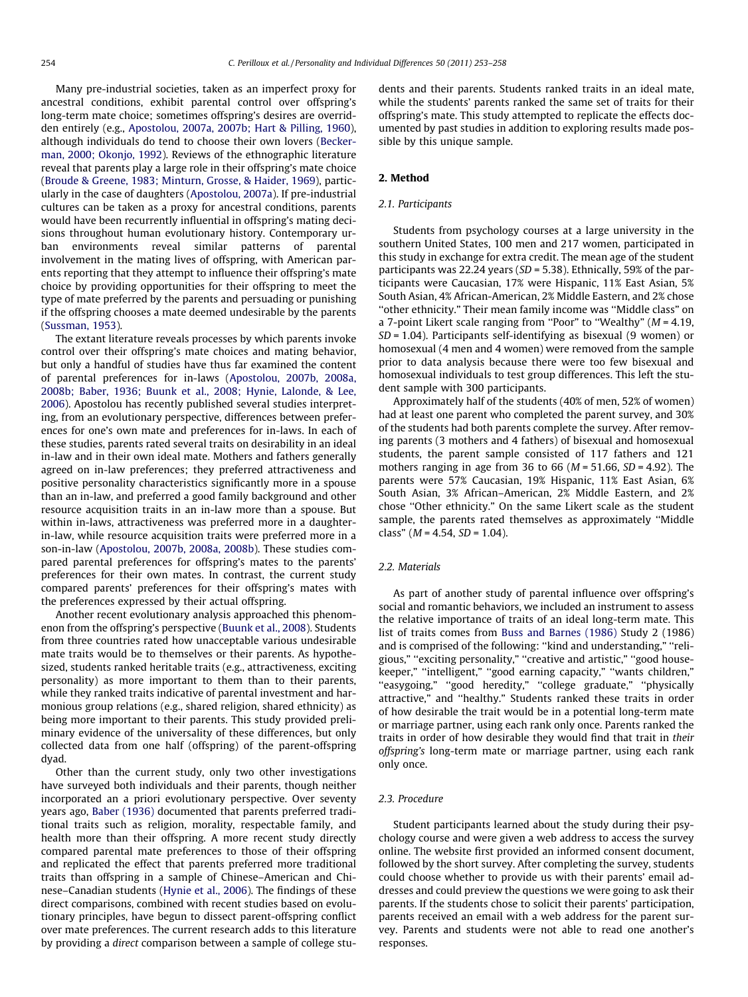Many pre-industrial societies, taken as an imperfect proxy for ancestral conditions, exhibit parental control over offspring's long-term mate choice; sometimes offspring's desires are overridden entirely (e.g., [Apostolou, 2007a, 2007b; Hart & Pilling, 1960\)](#page-5-0), although individuals do tend to choose their own lovers [\(Becker](#page-5-0)[man, 2000; Okonjo, 1992](#page-5-0)). Reviews of the ethnographic literature reveal that parents play a large role in their offspring's mate choice ([Broude & Greene, 1983; Minturn, Grosse, & Haider, 1969](#page-5-0)), particularly in the case of daughters ([Apostolou, 2007a](#page-5-0)). If pre-industrial cultures can be taken as a proxy for ancestral conditions, parents would have been recurrently influential in offspring's mating decisions throughout human evolutionary history. Contemporary urban environments reveal similar patterns of parental involvement in the mating lives of offspring, with American parents reporting that they attempt to influence their offspring's mate choice by providing opportunities for their offspring to meet the type of mate preferred by the parents and persuading or punishing if the offspring chooses a mate deemed undesirable by the parents ([Sussman, 1953\)](#page-5-0).

The extant literature reveals processes by which parents invoke control over their offspring's mate choices and mating behavior, but only a handful of studies have thus far examined the content of parental preferences for in-laws ([Apostolou, 2007b, 2008a,](#page-5-0) [2008b; Baber, 1936; Buunk et al., 2008; Hynie, Lalonde, & Lee,](#page-5-0) [2006\)](#page-5-0). Apostolou has recently published several studies interpreting, from an evolutionary perspective, differences between preferences for one's own mate and preferences for in-laws. In each of these studies, parents rated several traits on desirability in an ideal in-law and in their own ideal mate. Mothers and fathers generally agreed on in-law preferences; they preferred attractiveness and positive personality characteristics significantly more in a spouse than an in-law, and preferred a good family background and other resource acquisition traits in an in-law more than a spouse. But within in-laws, attractiveness was preferred more in a daughterin-law, while resource acquisition traits were preferred more in a son-in-law ([Apostolou, 2007b, 2008a, 2008b](#page-5-0)). These studies compared parental preferences for offspring's mates to the parents' preferences for their own mates. In contrast, the current study compared parents' preferences for their offspring's mates with the preferences expressed by their actual offspring.

Another recent evolutionary analysis approached this phenomenon from the offspring's perspective [\(Buunk et al., 2008\)](#page-5-0). Students from three countries rated how unacceptable various undesirable mate traits would be to themselves or their parents. As hypothesized, students ranked heritable traits (e.g., attractiveness, exciting personality) as more important to them than to their parents, while they ranked traits indicative of parental investment and harmonious group relations (e.g., shared religion, shared ethnicity) as being more important to their parents. This study provided preliminary evidence of the universality of these differences, but only collected data from one half (offspring) of the parent-offspring dyad.

Other than the current study, only two other investigations have surveyed both individuals and their parents, though neither incorporated an a priori evolutionary perspective. Over seventy years ago, [Baber \(1936\)](#page-5-0) documented that parents preferred traditional traits such as religion, morality, respectable family, and health more than their offspring. A more recent study directly compared parental mate preferences to those of their offspring and replicated the effect that parents preferred more traditional traits than offspring in a sample of Chinese–American and Chinese–Canadian students [\(Hynie et al., 2006\)](#page-5-0). The findings of these direct comparisons, combined with recent studies based on evolutionary principles, have begun to dissect parent-offspring conflict over mate preferences. The current research adds to this literature by providing a direct comparison between a sample of college students and their parents. Students ranked traits in an ideal mate, while the students' parents ranked the same set of traits for their offspring's mate. This study attempted to replicate the effects documented by past studies in addition to exploring results made possible by this unique sample.

#### 2. Method

#### 2.1. Participants

Students from psychology courses at a large university in the southern United States, 100 men and 217 women, participated in this study in exchange for extra credit. The mean age of the student participants was 22.24 years (SD = 5.38). Ethnically, 59% of the participants were Caucasian, 17% were Hispanic, 11% East Asian, 5% South Asian, 4% African-American, 2% Middle Eastern, and 2% chose ''other ethnicity." Their mean family income was ''Middle class" on a 7-point Likert scale ranging from "Poor" to "Wealthy" ( $M = 4.19$ , SD = 1.04). Participants self-identifying as bisexual (9 women) or homosexual (4 men and 4 women) were removed from the sample prior to data analysis because there were too few bisexual and homosexual individuals to test group differences. This left the student sample with 300 participants.

Approximately half of the students (40% of men, 52% of women) had at least one parent who completed the parent survey, and 30% of the students had both parents complete the survey. After removing parents (3 mothers and 4 fathers) of bisexual and homosexual students, the parent sample consisted of 117 fathers and 121 mothers ranging in age from 36 to 66 ( $M = 51.66$ ,  $SD = 4.92$ ). The parents were 57% Caucasian, 19% Hispanic, 11% East Asian, 6% South Asian, 3% African–American, 2% Middle Eastern, and 2% chose ''Other ethnicity." On the same Likert scale as the student sample, the parents rated themselves as approximately ''Middle class" ( $M = 4.54$ ,  $SD = 1.04$ ).

## 2.2. Materials

As part of another study of parental influence over offspring's social and romantic behaviors, we included an instrument to assess the relative importance of traits of an ideal long-term mate. This list of traits comes from [Buss and Barnes \(1986\)](#page-5-0) Study 2 (1986) and is comprised of the following: ''kind and understanding," ''religious," ''exciting personality," ''creative and artistic," ''good housekeeper," ''intelligent," ''good earning capacity," ''wants children," "easygoing," "good heredity," "college graduate," "physically attractive," and ''healthy." Students ranked these traits in order of how desirable the trait would be in a potential long-term mate or marriage partner, using each rank only once. Parents ranked the traits in order of how desirable they would find that trait in their offspring's long-term mate or marriage partner, using each rank only once.

#### 2.3. Procedure

Student participants learned about the study during their psychology course and were given a web address to access the survey online. The website first provided an informed consent document, followed by the short survey. After completing the survey, students could choose whether to provide us with their parents' email addresses and could preview the questions we were going to ask their parents. If the students chose to solicit their parents' participation, parents received an email with a web address for the parent survey. Parents and students were not able to read one another's responses.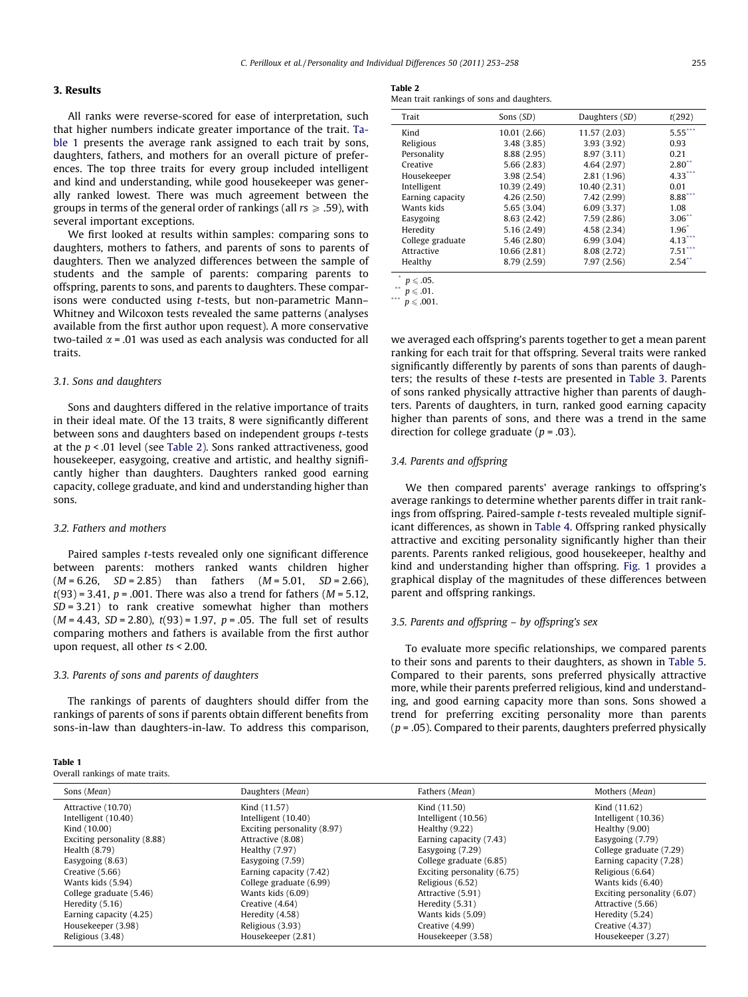# 3. Results

All ranks were reverse-scored for ease of interpretation, such that higher numbers indicate greater importance of the trait. Table 1 presents the average rank assigned to each trait by sons, daughters, fathers, and mothers for an overall picture of preferences. The top three traits for every group included intelligent and kind and understanding, while good housekeeper was generally ranked lowest. There was much agreement between the groups in terms of the general order of rankings (all  $rs \geq .59$ ), with several important exceptions.

We first looked at results within samples: comparing sons to daughters, mothers to fathers, and parents of sons to parents of daughters. Then we analyzed differences between the sample of students and the sample of parents: comparing parents to offspring, parents to sons, and parents to daughters. These comparisons were conducted using t-tests, but non-parametric Mann– Whitney and Wilcoxon tests revealed the same patterns (analyses available from the first author upon request). A more conservative two-tailed  $\alpha$  = .01 was used as each analysis was conducted for all traits.

### 3.1. Sons and daughters

Sons and daughters differed in the relative importance of traits in their ideal mate. Of the 13 traits, 8 were significantly different between sons and daughters based on independent groups t-tests at the  $p < .01$  level (see Table 2). Sons ranked attractiveness, good housekeeper, easygoing, creative and artistic, and healthy significantly higher than daughters. Daughters ranked good earning capacity, college graduate, and kind and understanding higher than sons.

# 3.2. Fathers and mothers

Paired samples t-tests revealed only one significant difference between parents: mothers ranked wants children higher  $(M = 6.26, SD = 2.85)$  than fathers  $(M = 5.01, SD = 2.66)$ ,  $t(93) = 3.41$ ,  $p = .001$ . There was also a trend for fathers ( $M = 5.12$ ,  $SD = 3.21$ ) to rank creative somewhat higher than mothers  $(M = 4.43, SD = 2.80), t(93) = 1.97, p = .05.$  The full set of results comparing mothers and fathers is available from the first author upon request, all other ts < 2.00.

#### 3.3. Parents of sons and parents of daughters

The rankings of parents of daughters should differ from the rankings of parents of sons if parents obtain different benefits from sons-in-law than daughters-in-law. To address this comparison,

| в<br>ı<br><br>г |  |
|-----------------|--|
|-----------------|--|

Overall rankings of mate traits.

#### Table 2

| Mean trait rankings of sons and daughters. |  |  |  |  |  |
|--------------------------------------------|--|--|--|--|--|
|--------------------------------------------|--|--|--|--|--|

| Trait            | Sons (SD)    | Daughters (SD) | t(292)               |
|------------------|--------------|----------------|----------------------|
| Kind             | 10.01 (2.66) | 11.57 (2.03)   | $5.55$ ***           |
| Religious        | 3.48(3.85)   | 3.93(3.92)     | 0.93                 |
| Personality      | 8.88 (2.95)  | 8.97(3.11)     | 0.21                 |
| Creative         | 5.66(2.83)   | 4.64(2.97)     | $2.80$ <sup>**</sup> |
| Housekeeper      | 3.98 (2.54)  | 2.81(1.96)     | $4.33$ **            |
| Intelligent      | 10.39 (2.49) | 10.40 (2.31)   | 0.01                 |
| Earning capacity | 4.26(2.50)   | 7.42 (2.99)    | 8.88                 |
| Wants kids       | 5.65(3.04)   | 6.09(3.37)     | 1.08                 |
| Easygoing        | 8.63(2.42)   | 7.59(2.86)     | $3.06$ <sup>**</sup> |
| Heredity         | 5.16(2.49)   | 4.58 (2.34)    | $1.96*$              |
| College graduate | 5.46(2.80)   | 6.99(3.04)     | $4.13***$            |
| Attractive       | 10.66 (2.81) | 8.08 (2.72)    | $7.51$ ***           |
| Healthy          | 8.79 (2.59)  | 7.97(2.56)     | $2.54$ <sup>**</sup> |
| $\sim$ $-$       |              |                |                      |

 $p \leqslant .05$ .

\*\*  $p \le 0.01$ . \*\*\*  $p \le 0.001$ .

we averaged each offspring's parents together to get a mean parent ranking for each trait for that offspring. Several traits were ranked significantly differently by parents of sons than parents of daughters; the results of these t-tests are presented in [Table 3.](#page-3-0) Parents of sons ranked physically attractive higher than parents of daughters. Parents of daughters, in turn, ranked good earning capacity higher than parents of sons, and there was a trend in the same direction for college graduate ( $p = .03$ ).

#### 3.4. Parents and offspring

We then compared parents' average rankings to offspring's average rankings to determine whether parents differ in trait rankings from offspring. Paired-sample t-tests revealed multiple significant differences, as shown in [Table 4.](#page-3-0) Offspring ranked physically attractive and exciting personality significantly higher than their parents. Parents ranked religious, good housekeeper, healthy and kind and understanding higher than offspring. [Fig. 1](#page-3-0) provides a graphical display of the magnitudes of these differences between parent and offspring rankings.

## 3.5. Parents and offspring – by offspring's sex

To evaluate more specific relationships, we compared parents to their sons and parents to their daughters, as shown in [Table 5.](#page-3-0) Compared to their parents, sons preferred physically attractive more, while their parents preferred religious, kind and understanding, and good earning capacity more than sons. Sons showed a trend for preferring exciting personality more than parents  $(p = .05)$ . Compared to their parents, daughters preferred physically

| Sons (Mean)                 | Daughters (Mean)            | Fathers (Mean)              | Mothers (Mean)              |
|-----------------------------|-----------------------------|-----------------------------|-----------------------------|
| Attractive (10.70)          | Kind (11.57)                | Kind (11.50)                | Kind (11.62)                |
| Intelligent (10.40)         | Intelligent $(10.40)$       | Intelligent (10.56)         | Intelligent (10.36)         |
| Kind (10.00)                | Exciting personality (8.97) | Healthy $(9.22)$            | Healthy $(9.00)$            |
| Exciting personality (8.88) | Attractive (8.08)           | Earning capacity (7.43)     | Easygoing $(7.79)$          |
| Health $(8.79)$             | Healthy $(7.97)$            | Easygoing $(7.29)$          | College graduate (7.29)     |
| Easygoing $(8.63)$          | Easygoing (7.59)            | College graduate (6.85)     | Earning capacity (7.28)     |
| Creative (5.66)             | Earning capacity (7.42)     | Exciting personality (6.75) | Religious (6.64)            |
| Wants kids (5.94)           | College graduate (6.99)     | Religious (6.52)            | Wants kids (6.40)           |
| College graduate (5.46)     | Wants kids (6.09)           | Attractive (5.91)           | Exciting personality (6.07) |
| Heredity (5.16)             | Creative (4.64)             | Heredity (5.31)             | Attractive (5.66)           |
| Earning capacity (4.25)     | Heredity (4.58)             | Wants kids (5.09)           | Heredity (5.24)             |
| Housekeeper (3.98)          | Religious (3.93)            | Creative (4.99)             | Creative (4.37)             |
| Religious (3.48)            | Housekeeper (2.81)          | Housekeeper (3.58)          | Housekeeper (3.27)          |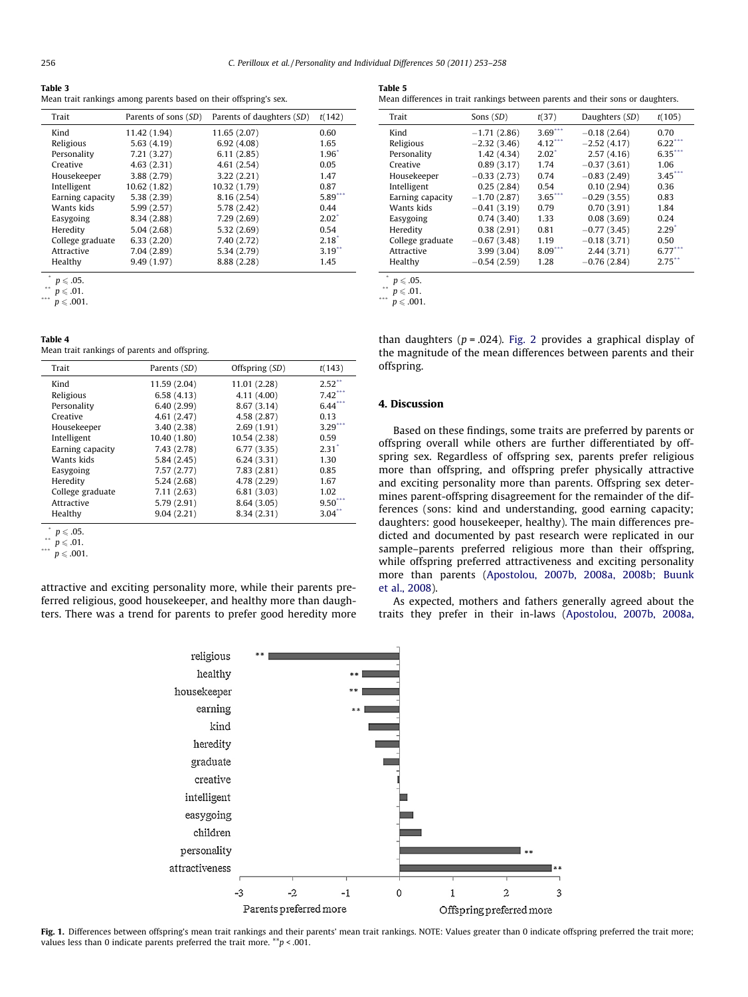<span id="page-3-0"></span>

|--|--|

Mean trait rankings among parents based on their offspring's sex.

| Trait            | Parents of sons (SD) | Parents of daughters (SD) | t(142)               |
|------------------|----------------------|---------------------------|----------------------|
| Kind             | 11.42 (1.94)         | 11.65 (2.07)              | 0.60                 |
| Religious        | 5.63(4.19)           | 6.92(4.08)                | 1.65                 |
| Personality      | 7.21(3.27)           | 6.11(2.85)                | $1.96*$              |
| Creative         | 4.63(2.31)           | 4.61(2.54)                | 0.05                 |
| Housekeeper      | 3.88(2.79)           | 3.22(2.21)                | 1.47                 |
| Intelligent      | 10.62 (1.82)         | 10.32 (1.79)              | 0.87                 |
| Earning capacity | 5.38(2.39)           | 8.16 (2.54)               | $5.89$ <sup>**</sup> |
| Wants kids       | 5.99(2.57)           | 5.78 (2.42)               | 0.44                 |
| Easygoing        | 8.34 (2.88)          | 7.29(2.69)                | $2.02^*$             |
| Heredity         | 5.04(2.68)           | 5.32(2.69)                | 0.54                 |
| College graduate | 6.33(2.20)           | 7.40 (2.72)               | $2.18^*$             |
| Attractive       | 7.04 (2.89)          | 5.34 (2.79)               | $3.19$ <sup>**</sup> |
| Healthy          | 9.49 (1.97)          | 8.88 (2.28)               | 1.45                 |
|                  |                      |                           |                      |

 $p \le 0.05$ .

\*\*  $p \le 0.01$ .

 $p \leqslant .001.$ 

## Table 4

Mean trait rankings of parents and offspring.

| Trait            | Parents (SD) | Offspring (SD) | t(143)                |
|------------------|--------------|----------------|-----------------------|
| Kind             | 11.59 (2.04) | 11.01 (2.28)   | $2.52$ **             |
| Religious        | 6.58(4.13)   | 4.11 (4.00)    | $7.42$ <sup>***</sup> |
| Personality      | 6.40(2.99)   | 8.67 (3.14)    | $6.44$ **             |
| Creative         | 4.61(2.47)   | 4.58 (2.87)    | 0.13                  |
| Housekeeper      | 3.40(2.38)   | 2.69(1.91)     | $3.29$ <sup>**</sup>  |
| Intelligent      | 10.40 (1.80) | 10.54 (2.38)   | 0.59                  |
| Earning capacity | 7.43 (2.78)  | 6.77(3.35)     | $2.31^*$              |
| Wants kids       | 5.84(2.45)   | 6.24(3.31)     | 1.30                  |
| Easygoing        | 7.57(2.77)   | 7.83(2.81)     | 0.85                  |
| Heredity         | 5.24(2.68)   | 4.78 (2.29)    | 1.67                  |
| College graduate | 7.11(2.63)   | 6.81(3.03)     | 1.02                  |
| Attractive       | 5.79(2.91)   | 8.64(3.05)     | 9.50                  |
| Healthy          | 9.04(2.21)   | 8.34 (2.31)    | 3.04                  |
|                  |              |                |                       |

 $p \le 0.05$ .

\*\*  $p \le 0.01$ .

 $p \leqslant .001$ .

attractive and exciting personality more, while their parents preferred religious, good housekeeper, and healthy more than daughters. There was a trend for parents to prefer good heredity more

Table 5

Mean differences in trait rankings between parents and their sons or daughters.

| Trait            | Sons (SD)     | t(37)                | Daughters (SD) | t(105)               |
|------------------|---------------|----------------------|----------------|----------------------|
| Kind             | $-1.71(2.86)$ | $3.69***$            | $-0.18(2.64)$  | 0.70                 |
| Religious        | $-2.32(3.46)$ | $4.12***$            | $-2.52(4.17)$  | 6.22                 |
| Personality      | 1.42(4.34)    | $2.02^*$             | 2.57(4.16)     | 6.35                 |
| Creative         | 0.89(3.17)    | 1.74                 | $-0.37(3.61)$  | 1.06                 |
| Housekeeper      | $-0.33(2.73)$ | 0.74                 | $-0.83(2.49)$  | 3.45                 |
| Intelligent      | 0.25(2.84)    | 0.54                 | 0.10(2.94)     | 0.36                 |
| Earning capacity | $-1.70(2.87)$ | $3.65$ <sup>**</sup> | $-0.29(3.55)$  | 0.83                 |
| Wants kids       | $-0.41(3.19)$ | 0.79                 | 0.70(3.91)     | 1.84                 |
| Easygoing        | 0.74(3.40)    | 1.33                 | 0.08(3.69)     | 0.24                 |
| Heredity         | 0.38(2.91)    | 0.81                 | $-0.77(3.45)$  | $2.29^{\degree}$     |
| College graduate | $-0.67(3.48)$ | 1.19                 | $-0.18(3.71)$  | 0.50                 |
| Attractive       | 3.99(3.04)    | $8.09***$            | 2.44(3.71)     | $6.77$ **            |
| Healthy          | $-0.54(2.59)$ | 1.28                 | $-0.76(2.84)$  | $2.75$ <sup>**</sup> |
|                  |               |                      |                |                      |

 $p \le 0.05$ .

\*\*  $p \le 0.01$ .  $p \leqslant .001$ .

than daughters ( $p = .024$ ). [Fig. 2](#page-4-0) provides a graphical display of the magnitude of the mean differences between parents and their offspring.

# 4. Discussion

Based on these findings, some traits are preferred by parents or offspring overall while others are further differentiated by offspring sex. Regardless of offspring sex, parents prefer religious more than offspring, and offspring prefer physically attractive and exciting personality more than parents. Offspring sex determines parent-offspring disagreement for the remainder of the differences (sons: kind and understanding, good earning capacity; daughters: good housekeeper, healthy). The main differences predicted and documented by past research were replicated in our sample–parents preferred religious more than their offspring, while offspring preferred attractiveness and exciting personality more than parents ([Apostolou, 2007b, 2008a, 2008b; Buunk](#page-5-0) [et al., 2008\)](#page-5-0).

As expected, mothers and fathers generally agreed about the traits they prefer in their in-laws [\(Apostolou, 2007b, 2008a,](#page-5-0)



Fig. 1. Differences between offspring's mean trait rankings and their parents' mean trait rankings. NOTE: Values greater than 0 indicate offspring preferred the trait more; values less than 0 indicate parents preferred the trait more.  $^{**}p < .001$ .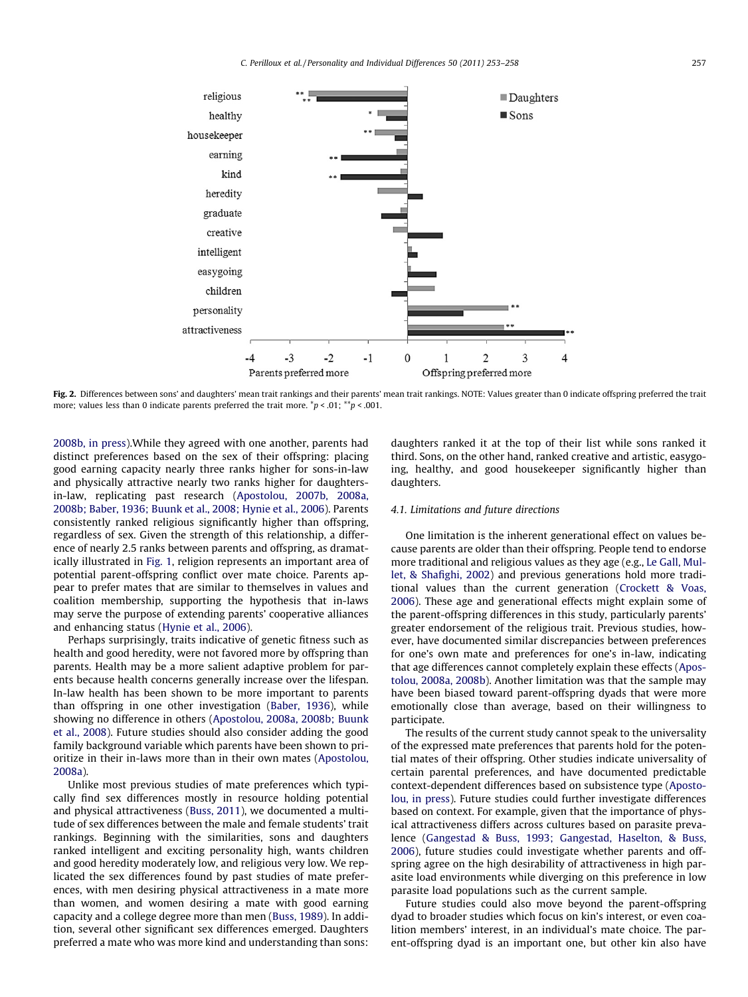<span id="page-4-0"></span>

Fig. 2. Differences between sons' and daughters' mean trait rankings and their parents' mean trait rankings. NOTE: Values greater than 0 indicate offspring preferred the trait more; values less than 0 indicate parents preferred the trait more.  $\bar{p}$  < .01;  $\bar{p}$  < .001.

[2008b, in press\)](#page-5-0).While they agreed with one another, parents had distinct preferences based on the sex of their offspring: placing good earning capacity nearly three ranks higher for sons-in-law and physically attractive nearly two ranks higher for daughtersin-law, replicating past research ([Apostolou, 2007b, 2008a,](#page-5-0) [2008b; Baber, 1936; Buunk et al., 2008; Hynie et al., 2006](#page-5-0)). Parents consistently ranked religious significantly higher than offspring, regardless of sex. Given the strength of this relationship, a difference of nearly 2.5 ranks between parents and offspring, as dramatically illustrated in [Fig. 1,](#page-3-0) religion represents an important area of potential parent-offspring conflict over mate choice. Parents appear to prefer mates that are similar to themselves in values and coalition membership, supporting the hypothesis that in-laws may serve the purpose of extending parents' cooperative alliances and enhancing status [\(Hynie et al., 2006](#page-5-0)).

Perhaps surprisingly, traits indicative of genetic fitness such as health and good heredity, were not favored more by offspring than parents. Health may be a more salient adaptive problem for parents because health concerns generally increase over the lifespan. In-law health has been shown to be more important to parents than offspring in one other investigation ([Baber, 1936\)](#page-5-0), while showing no difference in others ([Apostolou, 2008a, 2008b; Buunk](#page-5-0) [et al., 2008](#page-5-0)). Future studies should also consider adding the good family background variable which parents have been shown to prioritize in their in-laws more than in their own mates ([Apostolou,](#page-5-0) [2008a\)](#page-5-0).

Unlike most previous studies of mate preferences which typically find sex differences mostly in resource holding potential and physical attractiveness [\(Buss, 2011\)](#page-5-0), we documented a multitude of sex differences between the male and female students' trait rankings. Beginning with the similarities, sons and daughters ranked intelligent and exciting personality high, wants children and good heredity moderately low, and religious very low. We replicated the sex differences found by past studies of mate preferences, with men desiring physical attractiveness in a mate more than women, and women desiring a mate with good earning capacity and a college degree more than men [\(Buss, 1989](#page-5-0)). In addition, several other significant sex differences emerged. Daughters preferred a mate who was more kind and understanding than sons: daughters ranked it at the top of their list while sons ranked it third. Sons, on the other hand, ranked creative and artistic, easygoing, healthy, and good housekeeper significantly higher than daughters.

#### 4.1. Limitations and future directions

One limitation is the inherent generational effect on values because parents are older than their offspring. People tend to endorse more traditional and religious values as they age (e.g., [Le Gall, Mul](#page-5-0)[let, & Shafighi, 2002](#page-5-0)) and previous generations hold more traditional values than the current generation ([Crockett & Voas,](#page-5-0) [2006](#page-5-0)). These age and generational effects might explain some of the parent-offspring differences in this study, particularly parents' greater endorsement of the religious trait. Previous studies, however, have documented similar discrepancies between preferences for one's own mate and preferences for one's in-law, indicating that age differences cannot completely explain these effects ([Apos](#page-5-0)[tolou, 2008a, 2008b\)](#page-5-0). Another limitation was that the sample may have been biased toward parent-offspring dyads that were more emotionally close than average, based on their willingness to participate.

The results of the current study cannot speak to the universality of the expressed mate preferences that parents hold for the potential mates of their offspring. Other studies indicate universality of certain parental preferences, and have documented predictable context-dependent differences based on subsistence type [\(Aposto](#page-5-0)[lou, in press](#page-5-0)). Future studies could further investigate differences based on context. For example, given that the importance of physical attractiveness differs across cultures based on parasite prevalence [\(Gangestad & Buss, 1993; Gangestad, Haselton, & Buss,](#page-5-0) [2006](#page-5-0)), future studies could investigate whether parents and offspring agree on the high desirability of attractiveness in high parasite load environments while diverging on this preference in low parasite load populations such as the current sample.

Future studies could also move beyond the parent-offspring dyad to broader studies which focus on kin's interest, or even coalition members' interest, in an individual's mate choice. The parent-offspring dyad is an important one, but other kin also have